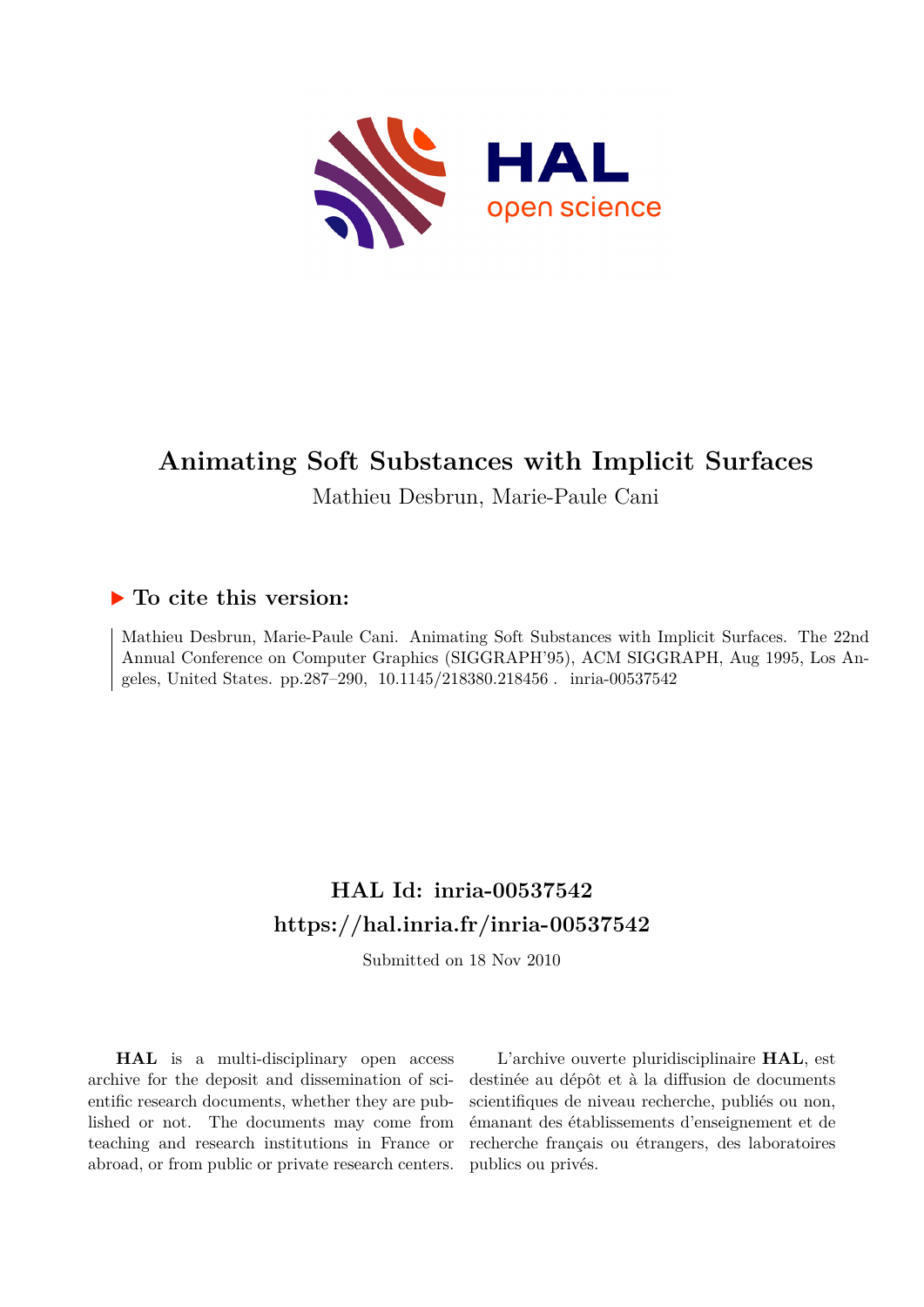

# **Animating Soft Substances with Implicit Surfaces**

Mathieu Desbrun, Marie-Paule Cani

## **To cite this version:**

Mathieu Desbrun, Marie-Paule Cani. Animating Soft Substances with Implicit Surfaces. The 22nd Annual Conference on Computer Graphics (SIGGRAPH'95), ACM SIGGRAPH, Aug 1995, Los Angeles, United States. pp.287-290, 10.1145/218380.218456. inria-00537542

# **HAL Id: inria-00537542 <https://hal.inria.fr/inria-00537542>**

Submitted on 18 Nov 2010

**HAL** is a multi-disciplinary open access archive for the deposit and dissemination of scientific research documents, whether they are published or not. The documents may come from teaching and research institutions in France or abroad, or from public or private research centers.

L'archive ouverte pluridisciplinaire **HAL**, est destinée au dépôt et à la diffusion de documents scientifiques de niveau recherche, publiés ou non, émanant des établissements d'enseignement et de recherche français ou étrangers, des laboratoires publics ou privés.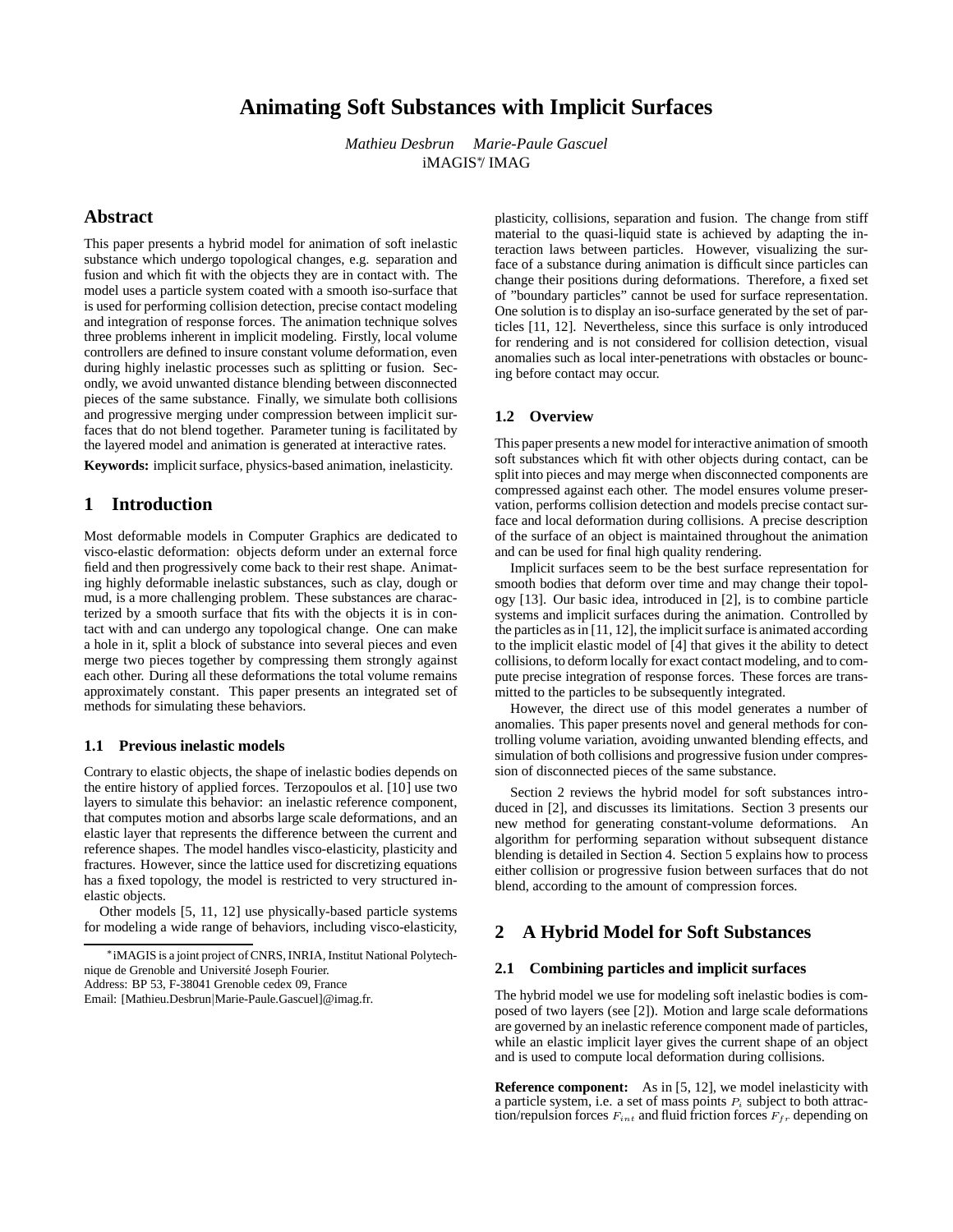## **Animating Soft Substances with Implicit Surfaces**

*Mathieu Desbrun Marie-Paule Gascuel* iMAGIS<sup>∗</sup> / IMAG

## **Abstract**

This paper presents a hybrid model for animation of soft inelastic substance which undergo topological changes, e.g. separation and fusion and which fit with the objects they are in contact with. The model uses a particle system coated with a smooth iso-surface that is used for performing collision detection, precise contact modeling and integration of response forces. The animation technique solves three problems inherent in implicit modeling. Firstly, local volume controllers are defined to insure constant volume deformation, even during highly inelastic processes such as splitting or fusion. Secondly, we avoid unwanted distance blending between disconnected pieces of the same substance. Finally, we simulate both collisions and progressive merging under compression between implicit surfaces that do not blend together. Parameter tuning is facilitated by the layered model and animation is generated at interactive rates.

**Keywords:** implicit surface, physics-based animation, inelasticity.

## **1 Introduction**

Most deformable models in Computer Graphics are dedicated to visco-elastic deformation: objects deform under an external force field and then progressively come back to their rest shape. Animating highly deformable inelastic substances, such as clay, dough or mud, is a more challenging problem. These substances are characterized by a smooth surface that fits with the objects it is in contact with and can undergo any topological change. One can make a hole in it, split a block of substance into several pieces and even merge two pieces together by compressing them strongly against each other. During all these deformations the total volume remains approximately constant. This paper presents an integrated set of methods for simulating these behaviors.

#### **1.1 Previous inelastic models**

Contrary to elastic objects, the shape of inelastic bodies depends on the entire history of applied forces. Terzopoulos et al. [10] use two layers to simulate this behavior: an inelastic reference component, that computes motion and absorbs large scale deformations, and an elastic layer that represents the difference between the current and reference shapes. The model handles visco-elasticity, plasticity and fractures. However, since the lattice used for discretizing equations has a fixed topology, the model is restricted to very structured inelastic objects.

Other models [5, 11, 12] use physically-based particle systems for modeling a wide range of behaviors, including visco-elasticity,

Address: BP 53, F-38041 Grenoble cedex 09, France

plasticity, collisions, separation and fusion. The change from stiff material to the quasi-liquid state is achieved by adapting the interaction laws between particles. However, visualizing the surface of a substance during animation is difficult since particles can change their positions during deformations. Therefore, a fixed set of "boundary particles" cannot be used for surface representation. One solution is to display an iso-surface generated by the set of particles [11, 12]. Nevertheless, since this surface is only introduced for rendering and is not considered for collision detection, visual anomalies such as local inter-penetrations with obstacles or bouncing before contact may occur.

## **1.2 Overview**

This paper presents a new model for interactive animation of smooth soft substances which fit with other objects during contact, can be split into pieces and may merge when disconnected components are compressed against each other. The model ensures volume preservation, performs collision detection and models precise contact surface and local deformation during collisions. A precise description of the surface of an object is maintained throughout the animation and can be used for final high quality rendering.

Implicit surfaces seem to be the best surface representation for smooth bodies that deform over time and may change their topology [13]. Our basic idea, introduced in [2], is to combine particle systems and implicit surfaces during the animation. Controlled by the particles as in [11, 12], the implicit surface is animated according to the implicit elastic model of [4] that gives it the ability to detect collisions, to deform locally for exact contact modeling, and to compute precise integration of response forces. These forces are transmitted to the particles to be subsequently integrated.

However, the direct use of this model generates a number of anomalies. This paper presents novel and general methods for controlling volume variation, avoiding unwanted blending effects, and simulation of both collisions and progressive fusion under compression of disconnected pieces of the same substance.

Section 2 reviews the hybrid model for soft substances introduced in [2], and discusses its limitations. Section 3 presents our new method for generating constant-volume deformations. An algorithm for performing separation without subsequent distance blending is detailed in Section 4. Section 5 explains how to process either collision or progressive fusion between surfaces that do not blend, according to the amount of compression forces.

## **2 A Hybrid Model for Soft Substances**

#### **2.1 Combining particles and implicit surfaces**

The hybrid model we use for modeling soft inelastic bodies is composed of two layers (see [2]). Motion and large scale deformations are governed by an inelastic reference component made of particles, while an elastic implicit layer gives the current shape of an object and is used to compute local deformation during collisions.

**Reference component:** As in [5, 12], we model inelasticity with a particle system, i.e. a set of mass points  $P_i$  subject to both attraction/repulsion forces  $F_{int}$  and fluid friction forces  $F_{fr}$  depending on

<sup>∗</sup> iMAGIS is a joint project of CNRS, INRIA, Institut National Polytechnique de Grenoble and Université Joseph Fourier.

Email: [Mathieu.Desbrun|Marie-Paule.Gascuel]@imag.fr.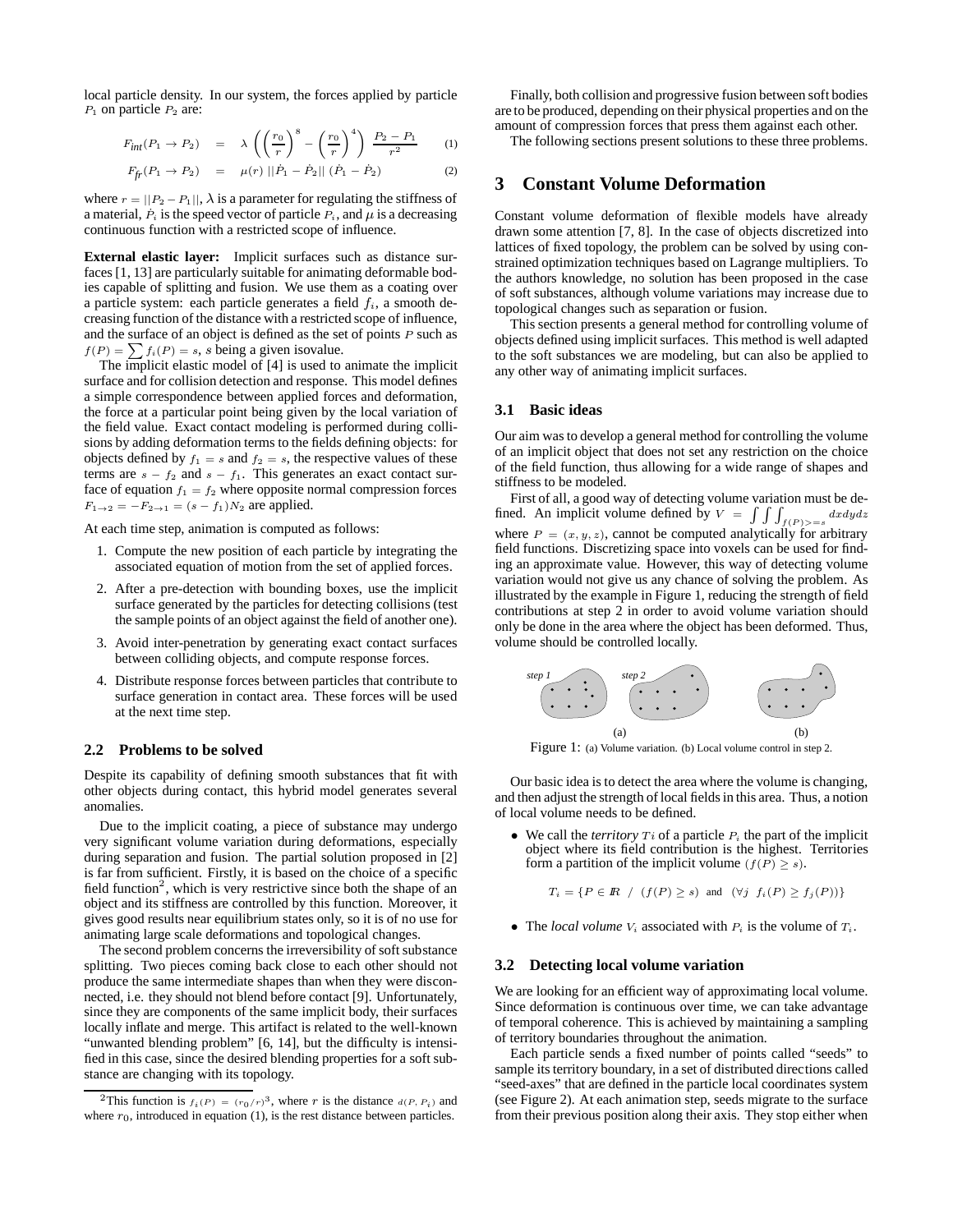local particle density. In our system, the forces applied by particle  $P_1$  on particle  $P_2$  are:

$$
F_{int}(P_1 \to P_2) = \lambda \left( \left( \frac{r_0}{r} \right)^8 - \left( \frac{r_0}{r} \right)^4 \right) \frac{P_2 - P_1}{r^2} \tag{1}
$$

$$
F_{fr}(P_1 \to P_2) = \mu(r) ||\dot{P}_1 - \dot{P}_2|| (\dot{P}_1 - \dot{P}_2)
$$
 (2)

where  $r = ||P_2 - P_1||$ ,  $\lambda$  is a parameter for regulating the stiffness of a material,  $\dot{P}_i$  is the speed vector of particle  $P_i$ , and  $\mu$  is a decreasing continuous function with a restricted scope of influence.

**External elastic layer:** Implicit surfaces such as distance surfaces [1, 13] are particularly suitable for animating deformable bodies capable of splitting and fusion. We use them as a coating over a particle system: each particle generates a field  $f_i$ , a smooth decreasing function of the distance with a restricted scope of influence, and the surface of an object is defined as the set of points P such as  $f(P) = \sum f_i(P) = s$ , s being a given isovalue.

The implicit elastic model of [4] is used to animate the implicit surface and for collision detection and response. This model defines a simple correspondence between applied forces and deformation, the force at a particular point being given by the local variation of the field value. Exact contact modeling is performed during collisions by adding deformation terms to the fields defining objects: for objects defined by  $f_1 = s$  and  $f_2 = s$ , the respective values of these terms are  $s - f_2$  and  $s - f_1$ . This generates an exact contact surface of equation  $f_1 = f_2$  where opposite normal compression forces  $F_{1\to 2} = -F_{2\to 1} = (s - f_1)N_2$  are applied.

At each time step, animation is computed as follows:

- 1. Compute the new position of each particle by integrating the associated equation of motion from the set of applied forces.
- 2. After a pre-detection with bounding boxes, use the implicit surface generated by the particles for detecting collisions (test the sample points of an object against the field of another one).
- 3. Avoid inter-penetration by generating exact contact surfaces between colliding objects, and compute response forces.
- 4. Distribute response forces between particles that contribute to surface generation in contact area. These forces will be used at the next time step.

#### **2.2 Problems to be solved**

Despite its capability of defining smooth substances that fit with other objects during contact, this hybrid model generates several anomalies.

Due to the implicit coating, a piece of substance may undergo very significant volume variation during deformations, especially during separation and fusion. The partial solution proposed in [2] is far from sufficient. Firstly, it is based on the choice of a specific field function<sup>2</sup>, which is very restrictive since both the shape of an object and its stiffness are controlled by this function. Moreover, it gives good results near equilibrium states only, so it is of no use for animating large scale deformations and topological changes.

The second problem concerns the irreversibility of soft substance splitting. Two pieces coming back close to each other should not produce the same intermediate shapes than when they were disconnected, i.e. they should not blend before contact [9]. Unfortunately, since they are components of the same implicit body, their surfaces locally inflate and merge. This artifact is related to the well-known "unwanted blending problem" [6, 14], but the difficulty is intensified in this case, since the desired blending properties for a soft substance are changing with its topology.

Finally, both collision and progressive fusion between soft bodies are to be produced, depending on their physical properties and on the amount of compression forces that press them against each other.

The following sections present solutions to these three problems.

## **3 Constant Volume Deformation**

Constant volume deformation of flexible models have already drawn some attention [7, 8]. In the case of objects discretized into lattices of fixed topology, the problem can be solved by using constrained optimization techniques based on Lagrange multipliers. To the authors knowledge, no solution has been proposed in the case of soft substances, although volume variations may increase due to topological changes such as separation or fusion.

This section presents a general method for controlling volume of objects defined using implicit surfaces. This method is well adapted to the soft substances we are modeling, but can also be applied to any other way of animating implicit surfaces.

#### **3.1 Basic ideas**

Our aim was to develop a general method for controlling the volume of an implicit object that does not set any restriction on the choice of the field function, thus allowing for a wide range of shapes and stiffness to be modeled.

First of all, a good way of detecting volume variation must be defined. An implicit volume defined by  $V = \int \int \int_{f(P) > -s} dx dy dz$ where  $P = (x, y, z)$ , cannot be computed analytically for arbitrary field functions. Discretizing space into voxels can be used for finding an approximate value. However, this way of detecting volume variation would not give us any chance of solving the problem. As illustrated by the example in Figure 1, reducing the strength of field contributions at step 2 in order to avoid volume variation should only be done in the area where the object has been deformed. Thus, volume should be controlled locally.



Figure 1: (a) Volume variation. (b) Local volume control in step 2.

Our basic idea is to detect the area where the volume is changing, and then adjust the strength of local fields in this area. Thus, a notion of local volume needs to be defined.

We call the *territory*  $Ti$  of a particle  $P_i$  the part of the implicit object where its field contribution is the highest. Territories form a partition of the implicit volume ( $f(P) \geq s$ ).

$$
T_i = \{ P \in \mathbb{R} / (f(P) \ge s) \text{ and } (\forall j \ f_i(P) \ge f_j(P)) \}
$$

• The *local volume*  $V_i$  associated with  $P_i$  is the volume of  $T_i$ .

#### **3.2 Detecting local volume variation**

We are looking for an efficient way of approximating local volume. Since deformation is continuous over time, we can take advantage of temporal coherence. This is achieved by maintaining a sampling of territory boundaries throughout the animation.

Each particle sends a fixed number of points called "seeds" to sample its territory boundary, in a set of distributed directions called "seed-axes" that are defined in the particle local coordinates system (see Figure 2). At each animation step, seeds migrate to the surface from their previous position along their axis. They stop either when

<sup>&</sup>lt;sup>2</sup>This function is  $f_i(P) = (r_0/r)^3$ , where r is the distance  $d(P, P_i)$  and where  $r_0$ , introduced in equation (1), is the rest distance between particles.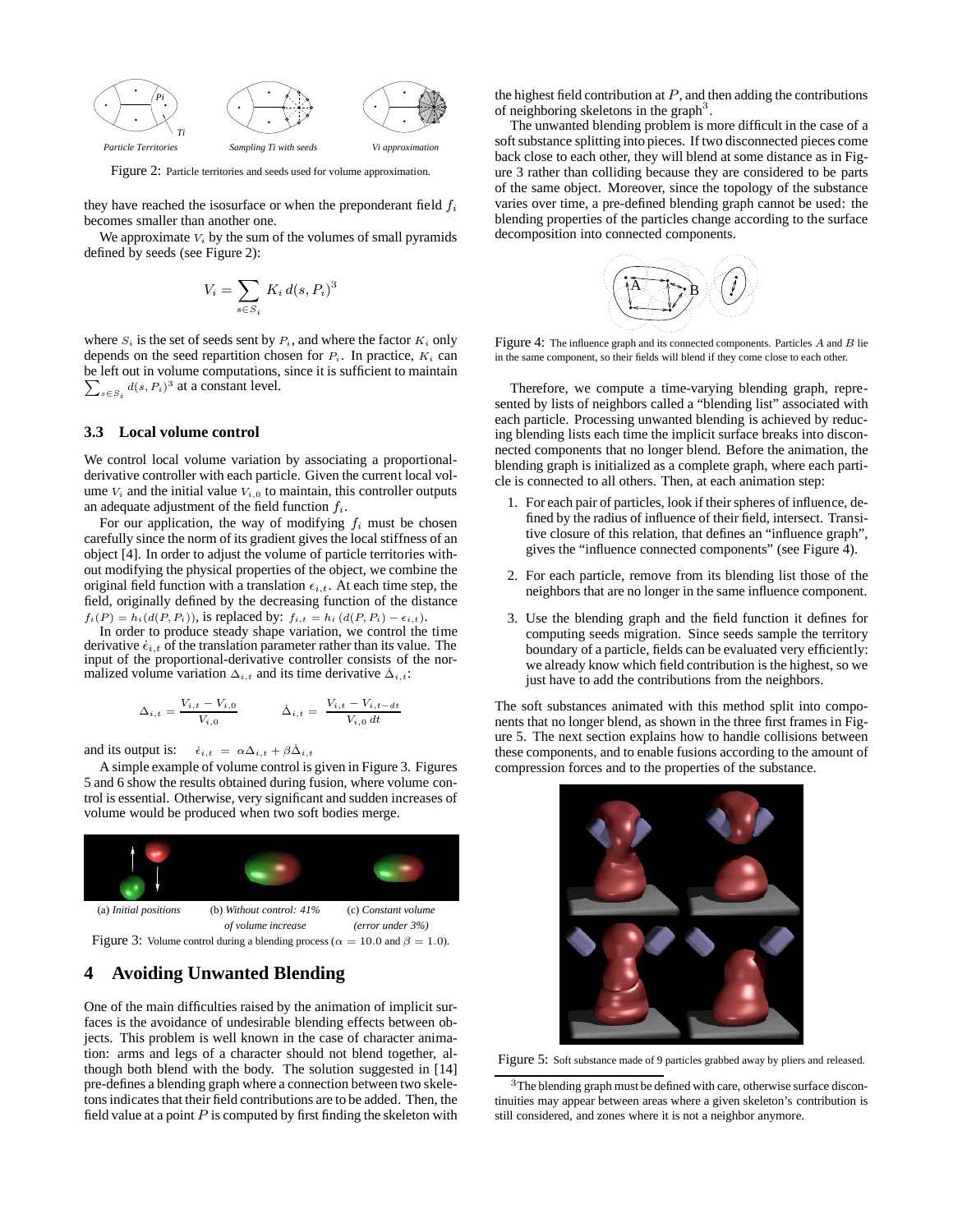

Figure 2: Particle territories and seeds used for volume approximation.

they have reached the isosurface or when the preponderant field  $f_i$ becomes smaller than another one.

We approximate  $V_i$  by the sum of the volumes of small pyramids defined by seeds (see Figure 2):

$$
V_i = \sum_{s \in S_i} K_i d(s, P_i)^3
$$

where  $S_i$  is the set of seeds sent by  $P_i$ , and where the factor  $K_i$  only depends on the seed repartition chosen for  $P_i$ . In practice,  $K_i$  can be left out in volume computations, since it is sufficient to m aintain  $\sum_{s \in S_i} d(s, P_i)^3$  at a constant level.

#### **3.3 Local volume control**

We control local volume variation by associating a proportionalderivative controller with each particle. Given the current local volume  $V_i$  and the initial value  $V_{i,0}$  to maintain, this controller outputs an adequate adjustment of the field function  $f_i$ .

For our application, the way of modifying  $f_i$  must be chosen carefully since the norm of its gradient gives the local stiffness of an object [4]. In order to adjust the volume of particle territories without modifying the physical properties of the object, we combine the original field function with a translation  $\epsilon_{i,t}$ . At each time step, the field, originally defined by the decreasing function of the distance  $f_i(P) = h_i(d(P, P_i))$ , is replaced by:  $f_{i,t} = h_i(d(P, P_i) - \epsilon_{i,t}).$ 

In order to produce steady shape variation, we control the time derivative  $\dot{\epsilon}_{i,t}$  of the translation parameter rather than its value. The input of the proportional-derivative controller consists of the normalized volume variation  $\Delta_{i,t}$  and its time derivative  $\Delta_{i,t}$ :

$$
\Delta_{i,t} = \frac{V_{i,t} - V_{i,0}}{V_{i,0}} \qquad \dot{\Delta}_{i,t} = \frac{V_{i,t} - V_{i,t-dt}}{V_{i,0} dt}
$$

and its output is:  $\dot{\epsilon}_{i,t} = \alpha \Delta_{i,t} + \beta \dot{\Delta}_{i,t}$ 

A simple example of volume control is given in Figure 3. Figures 5 and 6 show the results obtained during fusion, where volume control is essential. Otherwise, very significant and sudden increases of volume would be produced when two soft bodies merge.



## **4 Avoiding Unwanted Blending**

One of the main difficulties raised by the animation of implicit surfaces is the avoidance of undesirable blending effects between objects. This problem is well known in the case of character animation: arms and legs of a character should not blend together, although both blend with the body. The solution suggested in [14] pre-defines a blending graph where a connection between two skeletons indicates that their field contributions are to be added. Then, the field value at a point  $P$  is computed by first finding the skeleton with the highest field contribution at  $P$ , and then adding the contributions of neighboring skeletons in the graph<sup>3</sup>.

The unwanted blending problem is more difficult in the case of a soft substance splitting into pieces. If two disconnected pieces come back close to each other, they will blend at some distance as in Figure 3 rather than colliding because they are considered to be parts of the same object. Moreover, since the topology of the substance varies over time, a pre-defined blending graph cannot be used: the blending properties of the particles change according to the surface decomposition into connected components.



Figure 4: The influence graph and its connected components. Particles A and B lie in the same component, so their fields will blend if they come close to each other.

Therefore, we compute a time-varying blending graph, represented by lists of neighbors called a "blending list" associated with each particle. Processing unwanted blending is achieved by reducing blending lists each time the implicit surface breaks into disconnected components that no longer blend. Before the animation, the blending graph is initialized as a complete graph, where each particle is connected to all others. Then, at each animation step:

- 1. For each pair of particles, look if their spheres of influence, defined by the radius of influence of their field, intersect. Transitive closure of this relation, that defines an "influence graph", gives the "influence connected components" (see Figure 4).
- 2. For each particle, remove from its blending list those of the neighbors that are no longer in the same influence component.
- 3. Use the blending graph and the field function it defines for computing seeds migration. Since seeds sample the territory boundary of a particle, fields can be evaluated very efficiently: we already know which field contribution is the highest, so we just have to add the contributions from the neighbors.

The soft substances animated with this method split into components that no longer blend, as shown in the three first frames in Figure 5. The next section explains how to handle collisions between these components, and to enable fusions according to the amount of compression forces and to the properties of the substance.



Figure 5: Soft substance made of 9 particles grabbed away by pliers and released.

<sup>3</sup>The blending graph must be defined with care, otherwise surface discontinuities may appear between areas where a given skeleton's contribution is still considered, and zones where it is not a neighbor anymore.